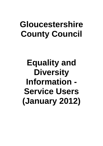# **Gloucestershire County Council**

# **Equality and Diversity Information - Service Users (January 2012)**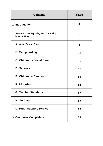| <b>Contents</b>                                        | Page         |
|--------------------------------------------------------|--------------|
| 1. Introduction                                        | 1            |
| 2. Service User Equality and Diversity<br>Information: | $\mathbf{2}$ |
| A. Adult Social Care                                   | $\mathbf{2}$ |
| <b>B. Safeguarding</b>                                 | 12           |
| C. Children's Social Care                              | 16           |
| <b>D. Schools</b>                                      | 18           |
| <b>E. Children's Centres</b>                           | 21           |
| <b>F. Libraries</b>                                    | 24           |
| <b>G. Trading Standards</b>                            | 25           |
| <b>H. Archives</b>                                     | 27           |
| <b>I. Youth Support Service</b>                        | 28           |
| <b>3. Customer Complaints</b>                          | 29           |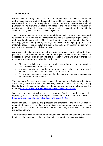## **1. Introduction**

Gloucestershire County Council (GCC) is the largest single employer in the county and a major supplier and contractor of high quality services across the whole of Gloucestershire. It is also a key player in many countywide, regional and national partnerships. As such, the Council is committed to tackling all forms of inequality, to providing the best possible standards when delivering services to our local residents and to operating within current equalities legislation.

The Equality Act (2010) replaced existing anti-discrimination laws and was designed to simplify the law, remove inconsistencies and make it easier for organisations to understand and comply with it. This Act outlined nine protected characteristics (age, disability, gender reassignment, marriage and civil partnerships, pregnancy and maternity, race, religion or belief and sexual orientation), or equality groups, which are central to the council"s policies and plans.

As a local authority we are expected to publish information on the effect that our policies and plans have had on people (both employees and service users) who have a protected characteristic, to demonstrate the extent to which we have furthered the three aims of the general equality duty, which are:

- Eliminate discrimination, harassment and victimisation and any other conduct that is prohibited by or under the Act.
- Advance equality of opportunity between people who share a relevant protected characteristic and people who do not share it.
- Foster good relations between people who share a protected characteristic and those who do not share it.

This document focuses on the service user information, specifically covering Adult Social Care, Children"s Social Care, Schools, Children"s Centres, Libraries, Trading Standards and Customer Complaints. Information covering our employees can be found at [http://www.gloucestershire.gov.uk/index.cfm?articleid=93075.](http://www.gloucestershire.gov.uk/index.cfm?articleid=93075)

We assess the impact of policies, services, strategies functions or projects across the equality groups. Our Equality Impact Assessments (EIAs) can be viewed at <http://www.gloucestershire.gov.uk/index.cfm?articleid=17212>

Monitoring service users by the protected characteristics enables the Council to ensure that its policies and plans are not discriminating any particular group. It also provides us with evidence to inform our decisions, including which services should be provided, and how.

This information will be updated on an annual basis. During this period we will work to address the gaps in our data in relation to the nine protected characteristics.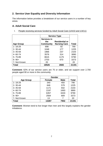## **2. Service User Equality and Diversity Information**

The information below provides a breakdown of our service users in a number of key areas.

### **A. Adult Social Care**

I. People receiving services funded by Adult Social Care (1/4/10 and 1/4/11)

|                  | <b>Service Type</b>                    |                                              |              |
|------------------|----------------------------------------|----------------------------------------------|--------------|
| <b>Age Group</b> | Services in<br>the<br><b>Community</b> | <b>Residential or</b><br><b>Nursing Care</b> | <b>Total</b> |
| $1 - 18 - 29$    | 698                                    | 92                                           | 790          |
| $2 - 30 - 44$    | 1048                                   | 177                                          | 1225         |
| $3 - 45 - 59$    | 1866                                   | 237                                          | 2103         |
| 4-60-74          | 3576                                   | 314                                          | 3890         |
| 5-75-89          | 8615                                   | 1175                                         | 9790         |
| $6 - 90 +$       | 2703                                   | 670                                          | 3373         |
| 7- Not Known     | 20                                     |                                              | 20           |
| Total            | 18526                                  | 2665                                         | 21191        |

**Comment:** 62% of our service users are 75 or older, and we support over 2,700 people aged 90 or more in the community.

|                  | Gender        |             |              |
|------------------|---------------|-------------|--------------|
| <b>Age Group</b> | <b>Female</b> | <b>Male</b> | <b>Total</b> |
| $1 - 18 - 29$    | 340           | 450         | 790          |
| $2 - 30 - 44$    | 646           | 579         | 1225         |
| $3 - 45 - 59$    | 1171          | 932         | 2103         |
| 4-60-74          | 2197          | 1693        | 3890         |
| 5-75-89          | 6357          | 3433        | 9790         |
| $6 - 90 +$       | 2564          | 809         | 3373         |
| 7- Not Known     | 13            |             | 20           |
| Total            | 13287         | 7902        | 21191        |

**Comment:** Women tend to live longer than men and this largely explains the gender imbalance.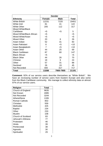|                           | <b>Gender</b>  |             |              |
|---------------------------|----------------|-------------|--------------|
| <b>Ethnicity</b>          | <b>Female</b>  | <b>Male</b> | <b>Total</b> |
| <b>White British</b>      | 12231          | 7220        | 19451        |
| <b>White Irish</b>        | 81             | 41          | 122          |
| <b>White Other</b>        | 205            | 112         | 317          |
| <b>Mixed White/Black</b>  |                |             |              |
| Caribbean                 | $5$            | $<$ 5       | 5            |
| Mixed White/Black African | $<$ 5          |             | $5$          |
| <b>Mixed White/Asian</b>  | $5$            |             | $5$          |
| <b>Mixed Other</b>        | 20             | 6           | 26           |
| Asian Indian              | 52             | 31          | 83           |
| Asian Pakistani           | 6              | $5$         | $<$ 10       |
| Asian Bangladeshi         | $\overline{7}$ | $5$         | $<$ 10       |
| <b>Asian Other</b>        | 44             | 25          | 69           |
| <b>Black Caribbean</b>    | 87             | 60          | 147          |
| <b>Black African</b>      | $<$ 5          |             | $5$          |
| <b>Black Other</b>        | 44             | 26          | 70           |
| Chinese                   | 18             | 6           | 24           |
| Other                     | 57             | 31          | 88           |
| Declined                  | 26             | 19          | 45           |
| <b>Not Recorded</b>       | 400            | 317         | 717          |
| <b>Total</b>              | 13288          | 7900-7905   | 21191        |

**Comment:** 92% of our service users describe themselves as "White British". We have an increasing number of service users from Eastern Europe and also some from the Black Caribbean community. We manage to collect ethnicity data on almost 97% of our service users.

| <b>Religion</b>           | <b>Total</b> |
|---------------------------|--------------|
| Church of England         | 9635         |
| Not Known                 | 4085         |
| Not Recorded              | 3244         |
| Atheist/None              | 1335         |
| <b>Roman Catholic</b>     | 853          |
| Christian                 | 559          |
| Methodist                 | 425          |
| <b>Baptist</b>            | 234          |
| Other                     | 233          |
| Muslim                    | 108          |
| <b>Church of Scotland</b> | 83           |
| Jehovah's Witness         | 77           |
| Protestant                | 46           |
| Hindu                     | 39           |
| Pentecostal               | 38           |
| Agnostic                  | 30           |
| Spiritualist              | 29           |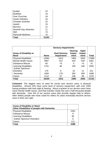| Quaker                     | 23    |
|----------------------------|-------|
| <b>Buddhist</b>            | 19    |
| <b>Free Churches</b>       | 18    |
| <b>Greek Orthodox</b>      | 16    |
| <b>Christian Scientist</b> | 15    |
| Jewish                     | 15    |
| Mormon                     | 12    |
| Seventh Day Adventist      | 11    |
| Sikh                       | <5    |
| <b>Plymouth Brethren</b>   | 5>    |
| Total                      | 21191 |

|                                                          | <b>Sensory Impairments</b> |                                          |                                   |                                 |       |
|----------------------------------------------------------|----------------------------|------------------------------------------|-----------------------------------|---------------------------------|-------|
| <b>Areas of Disability or</b><br><b>Need</b>             | <b>None</b>                | <b>Dual Sensory</b><br><b>Impairment</b> | <b>Hearing</b><br>Impair-<br>ment | <b>Sight</b><br>Impair-<br>ment | Total |
| <b>Physical Disabilities</b>                             | 12691                      | 1012                                     | 1983                              | 2002                            | 17688 |
| <b>Mental Health Issues</b>                              | 3997                       | 312                                      | 443                               | 629                             | 5381  |
| <b>Substance Misuse</b>                                  | 60                         | $5$                                      | 5                                 | $<$ 5                           | 70    |
| <b>Learning Disabilities</b><br><b>Autistic Spectrum</b> | 1751                       | 66                                       | 109                               | 166                             | 2092  |
| <b>Disorders</b>                                         | 179                        | 6                                        | 15                                | 21                              | 221   |
| Dementia                                                 | 1694                       | 179                                      | 260                               | 356                             | 2489  |
| Carers                                                   | 1112                       | 67                                       | 108                               | 89                              | 1376  |
| <b>Total</b>                                             | 16194                      | 1012                                     | 1983                              | 2002                            | 21191 |

**Comment:** The biggest area of need for social care service users is physical disabilities. Almost 24% have some level of sensory impairment, with over 1000 having problems with both sight & hearing. About a quarter of our service users have some mental health issues, and that includes nearly two and a half thousand people with dementia. Over 6% of our service users also provide regular help to others; often elderly people who have cared for others for years eventually become service users in their own right.

| <b>Areas of Disability or Need:</b><br>Other Disabilities of people with Dementia |      |
|-----------------------------------------------------------------------------------|------|
| <b>Physical Disabilities</b>                                                      | 2351 |
| <b>Substance Misuse</b>                                                           | 9    |
| <b>Learning Disabilities</b>                                                      | 65   |
| <b>Autistic Spectrum Disorders</b>                                                | 6    |
| Carers                                                                            | 111  |
| <b>Total</b>                                                                      | 2489 |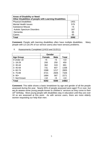| <b>Areas of Disability or Need:</b><br>Other Disabilities of people with Learning Disabilities |      |
|------------------------------------------------------------------------------------------------|------|
| <b>Physical Disabilities</b>                                                                   | 1401 |
| <b>Mental Health Issues</b>                                                                    | 579  |
| Substance Misuse                                                                               | $5$  |
| <b>Autistic Spectrum Disorders</b>                                                             | 187  |
| Dementia                                                                                       | 65   |
| Carers                                                                                         | 65   |
| Total                                                                                          | 2092 |

**Comment:** People with learning disabilities often have multiple disabilities. Many people with LD (16.3% of our service users) also have sensory problems.

|                  | Gender        |             |              |
|------------------|---------------|-------------|--------------|
| <b>Age Group</b> | <b>Female</b> | <b>Male</b> | <b>Total</b> |
| 0-Under 18       | $5$           | $5$         | $<$ 10       |
| 1-18-29          | 200           | 250         | 450          |
| $2 - 30 - 44$    | 362           | 319         | 681          |
| $3 - 45 - 59$    | 731           | 607         | 1338         |
| 4-60-74          | 1588          | 1217        | 2805         |
| 5-75-89          | 4721          | 2605        | 7326         |
| $6 - 90 +$       | 1684          | 587         | 2271         |
| 7- Not Known     | $<$ 10        | $5$         | ~10          |
| Total            | 9292          | 5590        | 14882        |

II. Assessments Completed (1/4/10 and 31/3/11)

**Comment:** This table shows a basic breakdown by age and gender of all the people assessed during the year. Nearly 65% of people assessed were aged 75 or over, but we do assess some young people known to children's' services as they come to their 18<sup>th</sup> birthday. Most young people with disabilities stay in education until they are over 18 so are assessed at this point. As with service users, there are more elderly women requesting our help than men.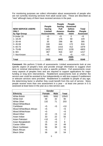For monitoring purposes we collect information about assessments of people who are not currently receiving services from adult social care. These are described as "new" although many of them have received services in the past.

| <b>NEW SERVICE USERS</b><br><b>ONLY</b><br>by Age Group | <b>People</b><br>having<br>Limited<br><b>Assessments</b> | <b>People</b><br>having<br>Full<br><b>Assess-</b><br>ments | <b>People</b><br><b>Assessed</b><br>before<br><b>Reable-</b><br>ment | Total<br><b>People</b><br><b>Assessed</b> |
|---------------------------------------------------------|----------------------------------------------------------|------------------------------------------------------------|----------------------------------------------------------------------|-------------------------------------------|
| 0-Under 18                                              | $5$                                                      | $5$                                                        | 0                                                                    | $5$                                       |
| $1 - 18 - 29$                                           | 10                                                       | 176                                                        | 59                                                                   | 229                                       |
| $2 - 30 - 44$                                           | 35                                                       | 296                                                        | 98                                                                   | 395                                       |
| $3 - 45 - 59$                                           | 100                                                      | 644                                                        | 172                                                                  | 816                                       |
| 4-60-74                                                 | 396                                                      | 1415                                                       | 412                                                                  | 1879                                      |
| 5-75-89                                                 | 1422                                                     | 3412                                                       | 1235                                                                 | 4803                                      |
| $6 - 90 +$                                              | 367                                                      | 916                                                        | 347                                                                  | 1217                                      |
| 7- Not Known                                            | $5$                                                      | $5$                                                        | $5$                                                                  | $<$ 10                                    |
|                                                         |                                                          |                                                            | 2320-                                                                |                                           |
| Total                                                   | 2333                                                     | 6865                                                       | 2325                                                                 | 9349                                      |

**Comment:** We perform 3 kinds of assessments: Limited assessments look at one specific aspect of people"s lives and provide enough information to suggest short term or minimal interventions to solve a specific problem. Full assessments cover many aspects of peoples lives and are required to support applications for major funding or long term interventions. Reablement assessments look at whether the service user could be assisted to live independently or with less support if reablement or telecare services were provided. Reablement is available to people of any age; the determining factor is whether they could benefit from this sort of service. Many people receive more than one assessment in a year – at least one person in 5 is assessed at least twice in the year as a new service user.

|                           | Gender        |             |              |
|---------------------------|---------------|-------------|--------------|
| <b>Ethnicity</b>          | <b>Female</b> | <b>Male</b> | <b>Total</b> |
| <b>White British</b>      | 8481          | 5062        | 13543        |
| White Irish               | 58            | 32          | 90           |
| <b>White Other</b>        | 132           | 71          | 203          |
| Mixed White/Black         |               |             |              |
| Caribbean                 | <5            | <5          | ~10          |
| Mixed White/Black African | $5$           |             | <5           |
| Mixed White/Asian         | $5$           |             | <5           |
| Mixed Other               | 10            | <5          | 14           |
| Asian Indian              | 33            | 22          | 55           |
| Asian Pakistani           | $<$ 10        | <5          | 7            |
| Asian Bangladeshi         | <5            | $<$ 5       | 8            |
| Casian Other              | 35            | 14          | 49           |
| <b>Black Caribbean</b>    | 56            | 39          | 95           |
| <b>Black African</b>      | <5            |             | <5           |
| <b>Black Other</b>        | 36            | 18          | 54           |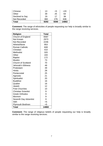| Chinese         | 13   | $<$ 5 | $<$ 20 |
|-----------------|------|-------|--------|
| Other           | 39   | 25    | 64     |
| Declined to Say | 19   | 17    | 36     |
| Not Recorded    | 360  | 276   | 636    |
| Total           | 9292 | 5590  | 14882  |

**Comment:** The range of ethnicities of people requesting our help is broadly similar to the range receiving services.

| <b>Religion</b>            | <b>Total</b> |
|----------------------------|--------------|
| Church of England          | 6587         |
| Not Known                  | 2973         |
| <b>Not Recorded</b>        | 2246         |
| Atheist/None               | 953          |
| <b>Roman Catholic</b>      | 608          |
| Christian                  | 410          |
| Methodist                  | 320          |
| Other                      | 193          |
| <b>Baptist</b>             | 172          |
| <b>Muslim</b>              | 73           |
| <b>Church of Scotland</b>  | 70           |
| Jehovah's Witness          | 48           |
| Protestant                 | 39           |
| Hindu                      | 28           |
| Pentecostal                | 25           |
| Agnostic                   | 21           |
| Spiritualist               | 20           |
| <b>Buddhist</b>            | 16           |
| Quaker                     | 16           |
| Jewish                     | 12           |
| <b>Free Churches</b>       | 10           |
| <b>Christian Scientist</b> | 9            |
| <b>Greek Orthodox</b>      | 9            |
| Mormon                     | 9            |
| Seventh Day Adventist      | 9            |
| Sikh                       | $5$          |
| <b>Plymouth Brethren</b>   | $<$ 5        |
| <b>Total</b>               | 14882        |

**Comment:** The range of religious beliefs of people requesting our help is broadly similar to the range receiving services.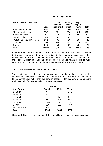| <b>Areas of Disability or Need</b> | <b>None</b> | Dual<br><b>Sensory</b><br><b>Impairment</b> | <b>Hearing</b><br>Impair-<br>ment | <b>Sight</b><br>Impair-<br>ment | <b>Total</b> |
|------------------------------------|-------------|---------------------------------------------|-----------------------------------|---------------------------------|--------------|
| <b>Physical Disabilities</b>       | 8873        | 860                                         | 1594                              | 1489                            | 12816        |
| <b>Mental Health Issues</b>        | 2941        | 271                                         | 386                               | 511                             | 4109         |
| <b>Substance Misuse</b>            | 52          | <5                                          | <5                                | $<$ 5                           | 60           |
| <b>Learning Disabilities</b>       | 704         | 39                                          | 59                                | 82                              | 884          |
| <b>Autistic Spectrum Disorders</b> | 102         | $<$ 5                                       | $<$ 10                            | 15                              | 128          |
| Dementia                           | 1438        | 159                                         | 233                               | 303                             | 2133         |
| Carers                             | 668         | 59                                          | 82                                | 70                              | 879          |
| <b>Total</b>                       | 10939       | 860                                         | 1594                              | 1489                            | 14882        |

**Comment:** People with dementia are much more likely to be re-assessed because their needs change and they are more likely to have carers assessments – their carers need more support than those for people with other needs. This accounts for the higher assessment rates among people with mental health issues as well. Otherwise, assessment rates are broadly comparable with service user rates.

#### III. Carers Assessments (1/4/10 and 31/3/11)

This section outlines details about people assessed during the year where the assessment also reflected the needs of an informal carer. The details provided relate to the service user rather than the carer(s) because often the carer does not want their personal information used for statistical purposes.

|                  | Gender        |             |              |
|------------------|---------------|-------------|--------------|
| <b>Age Group</b> | <b>Female</b> | <b>Male</b> | <b>Total</b> |
| $1 - 18 - 29$    | 65            | 76          | 141          |
| $2 - 30 - 44$    | 94            | 77          | 171          |
| $3 - 45 - 59$    | 189           | 175         | 364          |
| $4 - 60 - 74$    | 450           | 408         | 858          |
| 5-75-89          | 1385          | 943         | 2328         |
| $6 - 90 +$       | 584           | 205         | 789          |
| 7- Not Known     | $5$           |             | $5$          |
| Total            | 2768          | 1884        | 4652         |

**Comment:** Older service users are slightly more likely to have carers assessments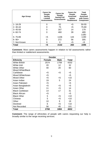| <b>Age Group</b> | <b>Carers for</b><br>People<br>having<br>Limited<br><b>Assessments</b> | <b>Carers for</b><br>People<br>having Full<br><b>Assessments</b> | <b>Carers for</b><br>People<br><b>Assessed</b><br>before<br><b>Reablement</b> | <b>Total</b><br>People<br><b>Assessed</b><br>with Carers<br><b>Component</b> |
|------------------|------------------------------------------------------------------------|------------------------------------------------------------------|-------------------------------------------------------------------------------|------------------------------------------------------------------------------|
| $1 - 18 - 29$    | 0                                                                      | 52                                                               | $5$                                                                           | 50-55                                                                        |
| $2 - 30 - 44$    | 0                                                                      | 75                                                               | $5$                                                                           | 75-80                                                                        |
| $3 - 45 - 59$    | 0                                                                      | 167                                                              | 14                                                                            | 179                                                                          |
| 4-60-74          | 0                                                                      | 460                                                              | 39                                                                            | 489                                                                          |
|                  |                                                                        |                                                                  |                                                                               | 1185-                                                                        |
| 5-75-89          | $5$                                                                    | 1106                                                             | 144                                                                           | 1190                                                                         |
| $6 - 90 +$       | 0                                                                      | 272                                                              | 56                                                                            | 305                                                                          |
| 7- Not Known     | 0                                                                      | 0                                                                | $5$                                                                           | $<$ 5                                                                        |
| Total            | <5                                                                     | 2132                                                             | 260                                                                           | 2296                                                                         |

**Comment:** Most carers assessments happen in relation to full assessments rather than limited or reablement assessments.

|                          | Gender |                   |        |
|--------------------------|--------|-------------------|--------|
| <b>Ethnicity</b>         | Female | <b>Male</b>       | Total  |
| <b>White British</b>     | 2574   | 1758              | 4332   |
| White Irish              | 20     | $12 \overline{ }$ | 32     |
| <b>White Other</b>       | 40     | 20                | 60     |
| <b>Mixed White/Black</b> |        |                   |        |
| Caribbean                | $<$ 5  | <5                | $<$ 5  |
| Mixed White/Asian        | $5$    |                   | $5$    |
| <b>Mixed Other</b>       | $5$    | $5$               | $<$ 10 |
| Asian Indian             | 19     | 5                 | 24     |
| Asian Pakistani          | $5$    |                   | $5$    |
| Asian Bangladeshi        | $<$ 5  | $<$ 5             | $5$    |
| <b>Asian Other</b>       | 11     | $5$               | 14     |
| <b>Black Caribbean</b>   | 14     | 17                | 31     |
| <b>Black African</b>     | $5$    |                   | $5$    |
| <b>Black Other</b>       | 5      | $<$ 5             | $<$ 10 |
| Chinese                  | 5      | $<$ 5             | $<$ 10 |
| Other                    | 10     | 9                 | 19     |
| Declined                 | 6      | $5$               | $<$ 10 |
| Not Recorded             | 56     | 45                | 101    |
| <b>Total</b>             | 2768   | 1884              | 4652   |

**Comment:** The range of ethnicities of people with carers requesting our help is broadly similar to the range receiving services.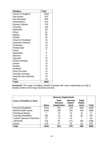| <b>Religion</b>            | <b>Total</b>   |
|----------------------------|----------------|
| Church of England          | 2253           |
| Not Known                  | 872            |
| Not Recorded               | 560            |
| Atheist/None               | 314            |
| <b>Roman Catholic</b>      | 176            |
| Christian                  | 120            |
| <b>Methodist</b>           | 93             |
| Other                      | 61             |
| <b>Baptist</b>             | 60             |
| <b>Muslim</b>              | 32             |
| <b>Church of Scotland</b>  | 23             |
| <b>Jehovah's Witness</b>   | 18             |
| Protestant                 | 14             |
| Pentecostal                | 12             |
| Hindu                      | $\overline{7}$ |
| Spiritualist               | 6              |
| Mormon                     | 5              |
| Agnostic                   | $5$            |
| <b>Greek Orthodox</b>      | $5$            |
| Jewish                     | $5$            |
| Quaker                     | $5$            |
| <b>Buddhist</b>            | $5$            |
| <b>Free Churches</b>       | $5$            |
| <b>Christian Scientist</b> | $5$            |
| Seventh Day Adventist      | $5$            |
| <b>Sikh</b>                | $5$            |
| <b>Total</b>               | 4652           |

**Comment:** The range of religious beliefs of people with carers requesting our help is broadly similar to the range receiving services.

| <b>Areas of Disability or Need</b> | <b>None</b> | <b>Dual</b><br><b>Sensory</b><br><b>Impairment</b> | <b>Hearing</b><br>Impair-<br>ment | <b>Sight</b><br>Impair-<br>ment | <b>Total</b> |
|------------------------------------|-------------|----------------------------------------------------|-----------------------------------|---------------------------------|--------------|
| <b>Physical Disabilities</b>       | 2974        | 341                                                | 379                               | 589                             | 4283         |
| <b>Mental Health Issues</b>        | 1160        | 135                                                | 150                               | 235                             | 1680         |
| <b>Substance Misuse</b>            |             | <5                                                 | $5$                               | $\leq 5$                        | 11           |
| <b>Learning Disabilities</b>       | 184         | 13                                                 | 19                                | 35                              | 251          |
| <b>Autistic Spectrum Disorders</b> | 27          | <5                                                 | <5                                | 7                               | 40           |
| Dementia                           | 716         | 81                                                 | 111                               | 160                             | 1068         |
| Carers                             | 170         | 17                                                 | 16                                | 29                              | 232          |
| <b>Total</b>                       | 3343        | 341                                                | 379                               | 589                             | 4652         |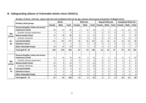# **B. Safeguarding (Abuse of Vulnerable Adults return 2010/11)**

|              |                                                                |        | <b>Alerts</b>  |                | <b>Referrals</b> |                |              | <b>Repeat Referrals</b> |                         |                | <b>Completed Referrals</b> |                |                |
|--------------|----------------------------------------------------------------|--------|----------------|----------------|------------------|----------------|--------------|-------------------------|-------------------------|----------------|----------------------------|----------------|----------------|
|              | <b>Primary client group:</b>                                   | Female | <b>Male</b>    | <b>Total</b>   | <b>Female</b>    | <b>Male</b>    | <b>Total</b> | Female                  | <b>Male</b>             | <b>Total</b>   | Female                     | <b>Male</b>    | <b>Total</b>   |
| Age          | Physical disability, frailty and sensory<br>impairment (Total) | 38     | 47             | 85             | 7                | 11             | 18           | 0                       | $\overline{2}$          | $\overline{2}$ | 12                         | 12             | 24             |
|              | of which: Sensory Impairment                                   | 1      | $\mathbf{1}$   | $\overline{2}$ | 1                | 1              | 2            | 0                       | $\mathbf 0$             | 0              | $\mathbf{1}$               | $\mathbf{1}$   | $\overline{2}$ |
| group        | <b>Mental Health (Total)</b>                                   | 42     | 46             | 88             | 8                | 4              | 12           | $\overline{3}$          | $\mathbf{1}$            | 4              | 12                         | $\overline{7}$ | 19             |
|              | of which: Dementia                                             | 1      | $\overline{2}$ | 3              | $\Omega$         | $\mathbf 0$    | $\Omega$     | $\Omega$                | $\mathbf 0$             | $\Omega$       | $\overline{2}$             | $\mathbf{0}$   | $\overline{2}$ |
| $18 -$       | <b>Learning Disability</b>                                     | 122    | 155            | 277            | 49               | 56             | 105          | 11                      | 10                      | 21             | 44                         | 54             | 98             |
| 64           | <b>Substance misuse</b>                                        | 1      | $\overline{2}$ | 3              | $\Omega$         | $\mathbf 0$    | 0            | $\mathbf 0$             | $\mathbf 0$             | 0              | 0                          | $\mathbf 0$    | $\mathbf 0$    |
|              | <b>Other Vulnerable People</b>                                 | 26     | 24             | 50             | 3                | $\mathbf{1}$   | 4            | 0                       | $\mathbf 0$             | 0              | $\overline{2}$             | $\mathbf 1$    | 3              |
|              | Total aged 18 - 64                                             | 229    | 274            | 503            | 67               | 72             | 139          | 14                      | 13                      | 27             | 70                         | 74             | 144            |
|              |                                                                |        |                |                |                  |                |              |                         |                         |                |                            |                |                |
|              | Physical disability, frailty and sensory<br>impairment (Total) | 41     | 35             | 76             | 10               | $\mathbf{3}$   | 13           | $\overline{2}$          | $\mathbf{1}$            | 3              | 11                         | 9              | 20             |
| Age          | of which: Sensory Impairment                                   | 0      | 0              | $\Omega$       | $\Omega$         | 0              | 0            | 0                       | $\mathbf 0$             | 0              | $\Omega$                   | 0              | $\bf{0}$       |
| group        | <b>Mental Health (Total)</b>                                   | 16     | 8              | 24             | 7                | $\overline{3}$ | 10           | 0                       | $\mathbf{1}$            |                | 5                          | $\overline{3}$ | 8              |
|              | of which: Dementia                                             | 16     | 8              | 24             | $\overline{7}$   | $\overline{3}$ | 10           | 0                       | $\mathbf{1}$            |                | 5                          | $\overline{3}$ | 8              |
| $65 -$<br>74 | <b>Learning Disability</b>                                     | 0      | 0              | 0              | 0                | $\mathbf 0$    | 0            | 0                       | 0                       | 0              | 0                          | $\mathbf 0$    | $\mathbf 0$    |
|              | <b>Substance misuse</b>                                        | 0      | 0              | $\mathbf 0$    | $\Omega$         | $\mathbf 0$    | 0            | 0                       | $\mathbf 0$             | 0              | 0                          | $\mathbf 0$    | $\mathbf 0$    |
|              | <b>Other Vulnerable People</b>                                 | 0      | 0              | 0              | $\Omega$         | $\mathbf 0$    | 0            | 0                       | $\mathbf 0$             | 0              | 0                          | $\mathbf 0$    | $\mathbf 0$    |
|              | Total aged 65 - 74                                             | 57     | 43             | 100            | 17               | 6              | 23           | $\mathbf{2}$            | $\overline{\mathbf{2}}$ | 4              | 16                         | 12             | 28             |

#### **Number of alerts, referrals, repeat referrals and completed referrals by age, primary client group and gender of alleged victim**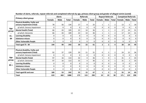|           |                                                                |                  | <b>Alerts</b> |              | <b>Referrals</b> |             |                | <b>Repeat Referrals</b> |                |                | <b>Completed Referrals</b> |                |             |
|-----------|----------------------------------------------------------------|------------------|---------------|--------------|------------------|-------------|----------------|-------------------------|----------------|----------------|----------------------------|----------------|-------------|
|           | <b>Primary client group:</b>                                   | Female           | <b>Male</b>   | <b>Total</b> | Female           | <b>Male</b> | <b>Total</b>   | Female                  | <b>Male</b>    | <b>Total</b>   | Female                     | <b>Male</b>    | Total       |
|           | Physical disability, frailty and<br>sensory impairment (Total) | 78               | 56            | 134          | 17               | 8           | 25             | $\mathbf{1}$            | $\mathbf{1}$   | 2              | 13                         | 5              | 18          |
| Age       | of which: Sensory Impairment                                   | $\Omega$         | $\Omega$      | $\Omega$     | $\Omega$         | $\Omega$    | $\Omega$       | $\mathbf 0$             | $\mathbf 0$    | $\overline{0}$ | $\Omega$                   | $\mathbf 0$    | $\mathbf 0$ |
| group     | <b>Mental Health (Total)</b>                                   | 66               | 43            | 109          | 22               | 14          | 36             | $\mathbf{1}$            | $\mathbf{1}$   | $\overline{2}$ | 17                         | 14             | 31          |
| $\bullet$ | of which: Dementia                                             | 66               | 43            | 109          | 22               | 14          | 36             | $\mathbf{1}$            | $\mathbf{1}$   | $\overline{2}$ | 17                         | 14             | 31          |
| $75 -$    | <b>Learning Disability</b>                                     | 0                | 0             | 0            | $\Omega$         | $\Omega$    | 0              | $\mathbf 0$             | $\mathbf 0$    | 0              | 0                          | $\mathbf 0$    | $\mathbf 0$ |
| 84        | <b>Substance misuse</b>                                        | $\mathbf 0$      | $\mathbf 0$   | 0            | 0                | 0           | 0              | $\pmb{0}$               | $\pmb{0}$      | 0              | 0                          | $\pmb{0}$      | $\mathbf 0$ |
|           | <b>Other Vulnerable People</b>                                 | 0                | 0             | 0            | 0                | 0           | $\mathbf 0$    | $\mathbf 0$             | $\mathbf 0$    | 0              | 0                          | 0              | $\mathbf 0$ |
|           | Total aged 75 - 84                                             | 144              | 99            | 243          | 39               | 22          | 61             | $\overline{2}$          | $\overline{2}$ | 4              | 30                         | 19             | 49          |
|           |                                                                |                  |               |              |                  |             |                |                         |                |                |                            |                |             |
|           | Physical disability, frailty and<br>sensory impairment (Total) | 92               | 37            | 129          | 20               | 11          | 31             | $\mathbf 0$             | $\overline{2}$ | $\overline{2}$ | 24                         | 12             | 36          |
|           | of which: Sensory Impairment                                   | $\Omega$         | 0             | $\Omega$     | $\mathbf 0$      | 0           | $\Omega$       | $\mathbf 0$             | $\mathbf 0$    | 0              | $\mathbf{0}$               | $\pmb{0}$      | $\mathbf 0$ |
| Age       | <b>Mental Health (Total)</b>                                   | 97               | 16            | 113          | 32               | 4           | 36             | $\mathbf{1}$            | $\mathbf 0$    | $\mathbf{1}$   | 31                         | $\overline{2}$ | 33          |
| group     | of which: Dementia                                             | 97               | 16            | 113          | 32               | 4           | 36             | $\mathbf{1}$            | $\mathbf 0$    | 1              | 31                         | $\overline{2}$ | 33          |
|           | <b>Learning Disability</b>                                     | 0                | 0             | 0            | $\mathbf 0$      | 0           | 0              | $\mathbf 0$             | $\pmb{0}$      | $\mathbf 0$    | 0                          | $\mathbf 0$    | $\mathbf 0$ |
| $85 +$    | <b>Substance misuse</b>                                        | $\mathbf 0$      | $\mathbf 0$   | $\mathbf 0$  | 0                | $\Omega$    | $\overline{0}$ | $\mathbf 0$             | $\mathbf 0$    | $\overline{0}$ | 0                          | $\mathbf{0}$   | $\mathbf 0$ |
|           | <b>Other Vulnerable People</b>                                 | $\boldsymbol{0}$ | $\mathbf 0$   | 0            | 0                | 0           | $\mathbf 0$    | $\mathbf 0$             | $\mathbf 0$    | 0              | 0                          | $\mathbf 0$    | $\mathbf 0$ |
|           | <b>Total aged 85 and over</b>                                  | 189              | 53            | 242          | 52               | 15          | 67             | $\mathbf{1}$            | $\overline{2}$ | 3              | 55                         | 14             | 69          |
|           | <b>Total</b>                                                   | 619              | 469           | 1088         | 175              | 115         | 290            | 19                      | 19             | 38             | 171                        | 119            | 290         |

**Number of alerts, referrals, repeat referrals and completed referrals by age, primary client group and gender of alleged victim (contd)**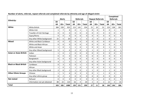|                               |                              |                |                |                  |                |                  |                |                | Completed    |                         |                  |                |                  |
|-------------------------------|------------------------------|----------------|----------------|------------------|----------------|------------------|----------------|----------------|--------------|-------------------------|------------------|----------------|------------------|
| <b>Ethnicity:</b>             |                              |                | <b>Alerts</b>  |                  |                | <b>Referrals</b> |                |                |              | <b>Repeat Referrals</b> | <b>Referrals</b> |                |                  |
|                               |                              | $18-$          |                |                  | $18-$          |                  |                | $18-$          |              |                         | $18-$            |                |                  |
|                               |                              | 64             | $65+$          | <b>Total</b>     | 64             | $65+$            | <b>Total</b>   | 64             | $65+$        | <b>Total</b>            | 64               | $65+$          | <b>Total</b>     |
| White                         | <b>White British</b>         | 384            | 539            | 923              | 113            | 141              | 254            | 21             | 10           | 31                      | 123              | 138            | 261              |
|                               | White Irish                  | 1              | $\overline{7}$ | 8                | $\mathbf 0$    | $\mathbf{1}$     | $\mathbf{1}$   | $\mathbf 0$    | 0            | $\mathbf 0$             | 0                | $\mathbf{1}$   | $\mathbf{1}$     |
|                               | Traveller of Irish Heritage  | 0              | 0              | $\boldsymbol{0}$ | $\mathbf 0$    | $\mathbf 0$      | 0              | 0              | 0            | 0                       | $\mathbf 0$      | $\mathbf 0$    | $\mathbf 0$      |
|                               | Gypsy/Roma                   | 0              | 0              | $\mathbf 0$      | $\mathbf 0$    | $\mathbf 0$      | 0              | 0              | 0            | 0                       | $\mathbf 0$      | $\mathbf 0$    | $\pmb{0}$        |
|                               | Any other White background   | 15             | 5              | 20               | 4              | 1                | 5              | 2              | 0            | $\overline{2}$          | 0                | $\mathbf{1}$   | $\mathbf{1}$     |
| <b>Mixed</b>                  | White and Black Caribbean    | 0              | 0              | $\mathbf 0$      | $\mathbf 0$    | $\mathbf 0$      | 0              | 0              | 0            | 0                       | 0                | $\mathbf 0$    | $\boldsymbol{0}$ |
|                               | White and Black African      | 0              | 0              | $\mathbf 0$      | $\mathbf 0$    | $\mathbf 0$      | 0              | 0              | 0            | 0                       | 0                | $\mathbf 0$    | 0                |
|                               | White and Asian              | 1              | 0              | $\mathbf{1}$     | $\mathbf{1}$   | $\mathbf 0$      | $\mathbf{1}$   | 0              | 0            | 0                       | $\mathbf 1$      | $\mathbf 0$    | $\mathbf{1}$     |
|                               | Any other Mixed background   | 5              | $\mathbf{1}$   | 6                | $\overline{2}$ | $\mathbf 0$      | $\overline{2}$ | $\mathbf{1}$   | 0            | $\mathbf{1}$            | $\mathbf 1$      | $\mathbf 0$    | $\mathbf{1}$     |
| <b>Asian or Asian British</b> | Indian                       | $\mathbf{1}$   | 0              | $\mathbf{1}$     | $\overline{0}$ | $\mathbf{0}$     | 0              | 0              | 0            | $\overline{0}$          | $\overline{0}$   | $\mathbf 0$    | $\mathbf 0$      |
|                               | Pakistani                    | 0              | $\mathbf 0$    | $\mathbf 0$      | $\mathbf 0$    | $\mathbf 0$      | 0              | $\mathbf 0$    | 0            | 0                       | $\mathbf 0$      | $\mathbf 0$    | $\pmb{0}$        |
|                               | Bangladeshi                  | 0              | 0              | 0                | $\mathbf 0$    | $\mathbf 0$      | 0              | 0              | 0            | 0                       | 0                | $\mathbf 0$    | $\pmb{0}$        |
|                               | Any other Asian background   | 4              | 1              | 5                | $\mathbf{1}$   | 0                | $\mathbf{1}$   | 0              | 0            | 0                       | 0                | $\mathbf 0$    | 0                |
| <b>Black or Black British</b> | Caribbean                    | 0              | 3              | 3                | $\mathbf 0$    | $\mathbf{1}$     | $\mathbf 1$    | 0              | 0            | 0                       | $\mathbf{1}$     | $\mathbf{1}$   | $\overline{2}$   |
|                               | African                      | $\mathbf 1$    | 0              | $\mathbf{1}$     | $\mathbf{1}$   | $\mathbf 0$      | $\mathbf 1$    | 0              | 0            | 0                       | $\mathbf{1}$     | $\mathbf 0$    | $\mathbf{1}$     |
|                               | Any other Black background   | $\overline{2}$ | 0              | $\overline{2}$   | $\mathbf{1}$   | $\Omega$         | $\mathbf 1$    | 1              | $\Omega$     | 1                       | $\mathbf{1}$     | 0              | $\mathbf{1}$     |
| <b>Other Ethnic Groups</b>    | Chinese                      | $\mathbf{1}$   | 5              | 6                | $\mathbf 0$    | 3                | $\overline{3}$ | 0              | $\mathbf{1}$ | $\mathbf{1}$            | $\overline{0}$   | 3              | 3                |
|                               | Any other ethnic group       | 0              | $\overline{2}$ | $\overline{2}$   | $\mathbf 0$    | $\mathbf 0$      | 0              | 0              | 0            | $\mathbf 0$             | 0                | $\mathbf 0$    | 0                |
| <b>Not stated</b>             | Refused                      | 0              | $\mathbf{0}$   | 0                | $\mathbf 0$    | $\mathbf 0$      | 0              | 0              | $\Omega$     | $\mathbf 0$             | 0                | $\mathbf 0$    | 0                |
|                               | Information not yet obtained | 88             | 22             | 110              | 16             | 4                | 20             | $\overline{2}$ | 0            | $\overline{2}$          | 12               | $\overline{2}$ | 14               |
| <b>Total</b>                  |                              | 503            | 585            | 1088             | 139            | 151              | 290            | 27             | 11           | 38                      | 140              | 146            | 286              |

#### **Number of alerts, referrals, repeat referrals and completed referrals by ethnicity and age of alleged victim**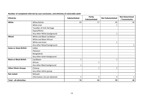| Ethnicity:                     |                              | <b>Substantiated</b> | Partly<br><b>Substantiated</b> | <b>Not Substantiated</b> | <b>Not Determined</b><br>/ Inconclusive |
|--------------------------------|------------------------------|----------------------|--------------------------------|--------------------------|-----------------------------------------|
| White                          | White British                | 69                   | 57                             | 89                       | 46                                      |
|                                | White Irish                  |                      |                                | $\mathbf{1}$             |                                         |
|                                | Traveller of Irish Heritage  |                      |                                |                          |                                         |
|                                | Gypsy/Roma                   |                      |                                |                          |                                         |
|                                | Any other White background   |                      |                                | $\mathbf{1}$             |                                         |
| <b>Mixed</b>                   | White and Black Caribbean    |                      |                                |                          |                                         |
|                                | White and Black African      |                      |                                |                          |                                         |
|                                | White and Asian              |                      |                                | $\mathbf{1}$             |                                         |
|                                | Any other Mixed background   |                      |                                |                          | 1                                       |
| <b>Asian or Asian British</b>  | Indian                       |                      |                                |                          |                                         |
|                                | Pakistani                    |                      |                                |                          |                                         |
|                                | Bangladeshi                  |                      |                                |                          |                                         |
|                                | Any other Asian background   |                      |                                |                          |                                         |
| <b>Black or Black British</b>  | Caribbean                    | 1                    |                                | 1                        |                                         |
|                                | African                      |                      | 1                              |                          |                                         |
|                                | Any other Black background   | 1                    |                                |                          |                                         |
| <b>Other Ethnic Groups</b>     | Chinese                      |                      | 1                              | $\overline{2}$           |                                         |
|                                | Any other ethnic group       |                      |                                |                          |                                         |
| <b>Not stated</b>              | Refused                      |                      |                                |                          |                                         |
|                                | Information not yet obtained | 5                    | 4                              | 4                        | 1                                       |
| <b>Total - all ethnicities</b> |                              | 76                   | 63                             | 99                       | 48                                      |

## **Number of completed referrals by case conclusion, and ethnicity of vulnerable adult**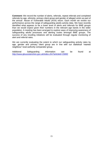**Comment:** We record the number of alerts, referrals, repeat referrals and completed referrals by age, ethnicity, primary client group and gender of alleged victim as part of the annual Abuse of Vulnerable Adults (AVA) return. Each month we review our performance across the range of safeguarding adults activity data. We have recently identified what appears to be a lower level of alerts and referrals for BME groups than we would expect given their numbers in the relevant age bands in the wider population. A meeting has been arranged to explore ways of improving awareness of safeguarding adults processes and alerting routes amongst BME groups. The success of any resulting initiatives will be evaluated through regular monitoring of alert and referral rates.

We are currently evaluating the extent to which our safeguarding activity rates by age, gender and primary client group are in line with our statistical "nearest neighbour" local authority comparator group.

Additional Safeguarding information can be found at <http://www.gloucestershire.gov.uk/index.cfm?articleid=15692>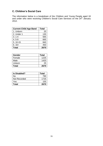# **C. Children's Social Care**

The information below is a breakdown of the Children and Young People aged 18 and under who were receiving Children's Social Care Services on the  $24<sup>th</sup>$  January 2012.

| <b>Current Child Age Band</b> | <b>Total</b> |
|-------------------------------|--------------|
| 1. Unborn                     | 20           |
| 2. Under 1                    | 130          |
| $3.1 - 4$                     | 565          |
| $4.5 - 9$                     | 665          |
| 5.10-15                       | 840          |
| $6.16+$                       | 450          |
| <b>Total</b>                  | 2670         |

| <b>Gender</b> | <b>Total</b> |
|---------------|--------------|
| Female        | 1225         |
| Male          | 1420         |
| Unborn        | 25           |
| Total         | 2670         |

| <b>Is Disabled?</b> | <b>Total</b> |
|---------------------|--------------|
| No                  | 790          |
| Not Recorded        | 1725         |
| Yes                 | 155          |
| Total               | 2670         |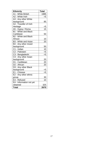| <b>Ethnicity</b>            | <b>Total</b> |
|-----------------------------|--------------|
| A1 - White British          | 1985         |
| A2 - White Irish            | <5           |
| A3 - Any other White        |              |
| background                  | 85           |
| A4 - Traveller of Irish     |              |
| Heritage                    | <5           |
| A5 - Gypsy / Roma           | 15           |
| <b>B1 - White and Black</b> |              |
| Caribbean                   | 50           |
| <b>B2 - White and Black</b> |              |
| African                     | 10           |
| B3 - White and Asian        | 20           |
| B4 - Any other mixed        |              |
| background                  | 50           |
| C1 - Indian                 | 10           |
| C2 - Pakistani              | $5$          |
| C3 - Bangladeshi            | $5$          |
| C4 - Any other Asian        |              |
| background                  | 20           |
| D1 - Caribbean              | 20           |
| D <sub>2</sub> - African    | 20           |
| D3 - Any other Black        |              |
| background                  | $<$ 5        |
| E1 - Chinese                | <5           |
| E2 - Any other ethnic       |              |
| group                       | 30           |
| E3 - Refused                | 10           |
| E4 - Information not yet    |              |
| obtained                    | 325          |
| <b>Total</b>                | 2670         |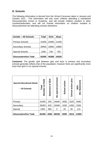## **D. Schools**

The following information is derived from the School Censuses taken in January and October 2011. This information will only cover children attending a maintained Gloucestershire school or Academy, and will include children resident in other counties/authorities, and will not include information on children resident to Gloucestershire but attending schools elsewhere.

| <b>Gender - All Schools</b>  | Total | <b>Girls</b> | <b>Boys</b> |
|------------------------------|-------|--------------|-------------|
| <b>Primary Schools</b>       | 41945 | 20490        | 21455       |
| <b>Secondary Schools</b>     | 39450 | 19650        | 19800       |
| <b>Special Schools</b>       | 1005  | 240          | 765         |
| <b>Gloucestershire Total</b> | 82400 | 40380        | 42020       |

**Comment:** The gender split between girls and boys in primary and secondary schools generally reflects that of the population; however there are significantly more boys than girls in our special schools.

| <b>Special Educational Needs</b><br>- All Schools | Roll)<br>$\overline{\bf{5}}$<br>Total<br>(Number | <b>SEN</b><br>$\mathbf{r}$<br><b>Statement</b> | provision<br>special<br>$\overline{\mathbf{z}}$ | action<br>School | plus<br>action<br>School | (No Statement)<br><b>NES</b> |
|---------------------------------------------------|--------------------------------------------------|------------------------------------------------|-------------------------------------------------|------------------|--------------------------|------------------------------|
| Primary                                           | 41945                                            | 545                                            | 34940                                           | 4935             | 1525                     | 6460                         |
| Secondary                                         | 39450                                            | 625                                            | 33490                                           | 4335             | 1000                     | 5335                         |
| Special                                           | 1005                                             | 895                                            | 0                                               | 20               | 90                       | 110                          |
| <b>Gloucestershire Total</b>                      | 82400                                            | 2065                                           | 68430                                           | 9290             | 2615                     | 11905                        |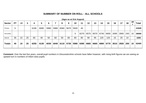## **SUMMARY OF NUMBER ON ROLL - ALL SCHOOLS**

| <b>Sector</b> | <b>PT</b> | $\leq$ 3 | 3  | 4    | 5    | 6    |      | 8    | 9    | 10   | 11   | 12 <sub>2</sub> | 13   | 14   | 15   | 16   | 17   | 18  | 19 | <b>Total</b> |
|---------------|-----------|----------|----|------|------|------|------|------|------|------|------|-----------------|------|------|------|------|------|-----|----|--------------|
| Primary       | 5         |          |    | 6195 | 6090 | 5980 | 5980 | 6060 | 5670 | 5920 | 45   |                 |      |      |      |      |      |     |    | 41945        |
| Secondary     |           |          |    |      |      |      |      |      |      |      | 6270 | 6575            | 6570 | 6740 | 6650 | 3495 | 2900 | 240 | 10 | 39450        |
| Special       | 35        | 10       | 25 | 60   | 40   | 50   | 60   | 50   | 65   | 60   | 80   | 90              | 95   | 120  | 120  | 15   | 20   | 10  |    | 1005         |
| <b>Totals</b> | 40        | 10       | 25 | 6255 | 6130 | 6030 | 6040 | 6110 | 5735 | 5980 | 6395 | 6665            | 6665 | 6860 | 6770 | 3510 | 2920 | 250 | 10 | 82400        |

**Comment:** Over the last five years, overall pupil numbers in Gloucestershire schools have fallen however, with rising birth figures we are seeing an upward turn in numbers of infant class pupils.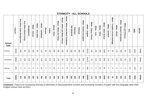|                              | <b>ETHNICITY - ALL SCHOOLS</b> |                                                       |                                  |                    |                                |                            |                                             |                |          |                |                            |                                                                        |                                                                   |              |                |         |                                                       |                                           |                                                |                                       |                                       |                                         |                                          |                                                                |                                              |                                     |                             |      |                      |              |
|------------------------------|--------------------------------|-------------------------------------------------------|----------------------------------|--------------------|--------------------------------|----------------------------|---------------------------------------------|----------------|----------|----------------|----------------------------|------------------------------------------------------------------------|-------------------------------------------------------------------|--------------|----------------|---------|-------------------------------------------------------|-------------------------------------------|------------------------------------------------|---------------------------------------|---------------------------------------|-----------------------------------------|------------------------------------------|----------------------------------------------------------------|----------------------------------------------|-------------------------------------|-----------------------------|------|----------------------|--------------|
| <b>School</b><br><b>Type</b> | Total 5+                       | <b>Any</b><br><b>Other</b><br><b>Asian Background</b> | <b>Any Other Ethnic</b><br>Group | <b>Bangladeshi</b> | <b>Black</b><br><b>African</b> | Black-<br><b>Any Other</b> | <b>Black</b><br>$\blacksquare$<br>Caribbean | <b>Chinese</b> | Indian   | Mixed<br>Other | Mixed -<br>White and Asian | Mixed<br>$\blacksquare$<br><b>White</b><br>and<br><b>Black African</b> | Mixed<br>$\blacksquare$<br><b>White</b><br>and Black<br>Caribbean | Not obtained | Pakistan       | Refused | <b>White</b><br>$\blacksquare$<br>Eastern<br>European | <b>White</b><br>$\blacksquare$<br>English | <b>White</b><br>$\blacksquare$<br>Gypsy / Roma | <b>White</b><br>$\mathbf{L}$<br>Irish | <b>White</b><br>$\mathbf{I}$<br>Other | <b>White</b><br>Other<br><b>British</b> | <b>White</b><br>$\mathbf{L}$<br>Scottish | <b>White</b><br>$\mathbf{L}$<br>Traveller of Irish<br>Heritage | <b>White</b><br>$\mathbf{L}$<br><b>Welsh</b> | <b>White</b><br>Western<br>European | <b>White</b><br>and Chinese | EAL  | <b>BIME</b>          | <b>WHITE</b> |
| Primary                      | 35565                          | 200                                                   | 95                               | 120                | $\overrightarrow{g}$           | 96                         | 110                                         | $35^{\circ}$   | 420      | 395            | 285                        | $\overrightarrow{40}$                                                  | 475                                                               | $\vec{8}$    | $\delta$       | 260     | 0ZS                                                   | 29370                                     | 135                                            | $\vec{0}$                             | 400                                   | 1380                                    | $\geq$                                   | <b>SO</b>                                                      | 021                                          | 330                                 | SO                          | 1670 | 4220                 | 30985        |
| Secondary                    | 39865                          | 021                                                   | $\vec{p}$                        | $\vec{5}$          | $\overline{150}$               | SO                         | 130                                         | 50             | 345      | 340            | 235                        | $\delta$                                                               | 440                                                               | $\vec{8}$    | $\mathfrak{S}$ | 240     | 340                                                   | 34470                                     | 35                                             | 120                                   | 410                                   | 386                                     | $\overrightarrow{40}$                    | $\vec{o}$                                                      | 240                                          | 300                                 | 80                          | 1220 | 3610                 | 35830        |
| Special                      | 975                            | C                                                     | $\circ$                          | ת                  | С'n                            | $\circ$                    | $\vec{o}$                                   | $\circ$        | <b>ט</b> | SO             | С'n                        | $\circ$                                                                | $\vec{o}$                                                         | $\circ$      | $\circ$        | ੱਹ      | ຕ                                                     | 089                                       | $\circ$                                        | $\circ$                               | SO                                    | 85                                      | $\circ$                                  | $\circ$                                                        | Оī                                           | $\circ$                             | $\circ$                     | SO   | $\overrightarrow{5}$ | <b>275</b>   |
| <b>Total</b>                 | 76305                          | 375                                                   | 561                              | 225                | 302                            | 145                        | 250                                         | <b>OG L</b>    | 770      | 555            | 525                        | 230                                                                    | 322                                                               | 290          | 160            | 515     | <b>S65</b>                                            | 64520                                     | 170                                            | 220                                   | 830                                   | 2450                                    | 210                                      | $\boldsymbol{\mathsf{so}}$                                     | 415                                          | 630                                 | 110                         | 2910 | 7935                 | 06529        |

**Comment:** There is an increasing diversity of ethnicities in Gloucestershire schools and increasing numbers of pupils with first language other than English (shown here as EAL).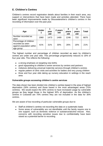## **E. Children's Centres**

Children"s centres record registration details about families in their reach area, any support or interventions that have been made and activities attended. There have been significant improvements made by Gloucestershire's children's centres in the recording of information over the past year.

| Age                                                                                  | <b>Under</b> | year<br>old | 2 years<br>old | years<br>old | years<br>old | Total |
|--------------------------------------------------------------------------------------|--------------|-------------|----------------|--------------|--------------|-------|
| Number recorded as<br>seen                                                           | 1960         | 1473        | 1469           | 1246         | 722          | 6870  |
| Percentage of children<br>recorded as seen<br>against population within<br>age group | 41%          | 31%         | 30%            | 26%          | 16%          | 21%   |

The highest number and percentage of children recorded as seen by children"s centres are under one year olds. This percentage progressively reduces to 16% of four year olds. This reflects the following:

- a strong emphasis on targeting new births
- good signposting to children's centre services by centres and partners
- midwives delivering universal maternity services through children's centres
- regular pattern of clinic visits and activities for babies and very young children
- three and four year olds taking up nursery education in settings in the reach area

#### **Vulnerable groups accessing children's centre services**

The data shown has been divided into children"s centres based in the area of highest deprivation (30% centres) and those based in the most advantaged areas (70% centres). We would expect the 30% centres to have increased usage by vulnerable groups as they target those in the highest 30% of deprivation. As the children"s centres in Cotswold are 70% centres they are not included in the data for 30% centres.

We are aware of low recording of particular vulnerable groups due to:

- Staff at children's centres not recording the data on a systematic basis
- Some areas of vulnerability are not identifiable until the family require one to one support, such as domestic violence or substance/alcohol misuse. Also, concerns with recording sensitive issues due to confidentiality have been raised as a potential barrier to recording.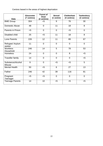Centres based in the areas of highest deprivation

| <b>Data</b>                        | <b>Gloucester</b><br>(7 centres) | <b>Forest of</b><br>Dean<br>(2 centres) | <b>Stroud</b><br>(1 centre) | Cheltenham<br>(4 centres) | <b>Tewkesbury</b><br>(2 centres) |
|------------------------------------|----------------------------------|-----------------------------------------|-----------------------------|---------------------------|----------------------------------|
| <b>BME Group</b>                   | 304                              | $<$ 5                                   | 9                           | 76                        | 30                               |
| Domestic Abuse                     | 48                               | $\overline{0}$                          | 11                          | 18                        | 8                                |
| <b>Parents in Prison</b>           | < 5                              | $\overline{0}$                          | $\overline{0}$              | < 5                       | $\mathbf 0$                      |
| Disabled child                     | 25                               | < 5                                     | 11                          | 18                        | 8                                |
| Lone Parents                       | 226                              | 12                                      | 11                          | 89                        | 67                               |
| Refugee/ Asylum<br>seeker          | 11                               | $\mathbf 0$                             | $\mathbf 0$                 | $\mathbf 0$               | $\overline{0}$                   |
| <b>Workless</b><br>Household       | 246                              | 14                                      | 5                           | 78                        | 53                               |
| <b>Homeless</b>                    | 24                               | $\overline{0}$                          | $\overline{0}$              | 8                         | $5$                              |
| <b>Traveller family</b>            | 14                               | $\overline{0}$                          | $\overline{0}$              | $\overline{0}$            | $5$                              |
| Substance/Alcohol<br><b>Misuse</b> | 9                                | $\overline{0}$                          | < 5                         | $5$                       | 5                                |
| <b>Mental Health</b>               | 50                               | $5$                                     | 6                           | 27                        | 13                               |
| Father                             | 246                              | 42                                      | 39                          | 116                       | 81                               |
| Pregnant<br>Teenager               | $5$                              | < 5                                     | $\Omega$                    | $\overline{0}$            | $\overline{0}$                   |
| <b>Teenage Parents</b>             | 14                               | 10                                      | < 5                         | $5$                       | $5$                              |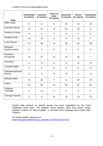Centres in the more advantaged areas

| <b>Data</b>                        | <b>Cheltenham</b><br>(3 centres) | <b>Cotswold</b><br>(4 centres) | <b>Forest of</b><br><b>Dean</b><br>(3 centres) | <b>Gloucester</b><br>(3 centres) | <b>Stroud</b><br>(6 centres) | <b>Tewkesbury</b><br>(4 centres) |
|------------------------------------|----------------------------------|--------------------------------|------------------------------------------------|----------------------------------|------------------------------|----------------------------------|
| <b>BME Group</b>                   | 6                                | $\overline{0}$                 | $\overline{0}$                                 | 19                               | $5$                          | 15                               |
| Domestic Abuse                     | $5$                              | 23                             | $<$ 5                                          | 10                               | 20                           | 6                                |
| Parents in Prison                  | $\pmb{0}$                        | $\mathbf 0$                    | $\mathbf 0$                                    | $<$ 5                            | $\overline{0}$               | $\mathbf 0$                      |
| <b>Disabled child</b>              | $<$ 5                            | $5$                            | $\overline{0}$                                 | 5                                | $5$                          | $\overline{7}$                   |
| <b>Lone Parents</b>                | $5$                              | 55                             | $5$                                            | 18                               | 63                           | 38                               |
| Refugee/<br>Asylum seeker          | $\pmb{0}$                        | $\mathbf 0$                    | $\overline{0}$                                 | $\mathbf 0$                      | $\overline{0}$               | $\overline{0}$                   |
| <b>Workless</b><br>Household       | $5$                              | 37                             | $5$                                            | 15                               | 16                           | $\overline{7}$                   |
| <b>Homeless</b>                    | $\mathbf 0$                      | < 5                            | $\overline{0}$                                 | $\mathbf 0$                      | < 5                          | < 5                              |
| <b>Traveller family</b>            | $\overline{0}$                   | $\overline{0}$                 | $\overline{0}$                                 | $\overline{0}$                   | $\overline{0}$               | $<$ 5                            |
| Substance/Alcohol<br><b>Misuse</b> | $\boldsymbol{0}$                 | $\mathbf 0$                    | $5$                                            | $5$                              | $\mathbf 0$                  | $<$ 5                            |
| <b>Mental Health</b>               | $<$ 5                            | 26                             | $\overline{7}$                                 | 11                               | 20                           | 10                               |
| Father                             | 14                               | 59                             | 14                                             | 98                               | 91                           | 60                               |
| Pregnant<br>Teenager               | $\boldsymbol{0}$                 | $5$                            | $\boldsymbol{0}$                               | $\overline{0}$                   | $\mathbf 0$                  | $\boldsymbol{0}$                 |
| <b>Teenage Parents</b>             | $\overline{0}$                   | 6                              | $5$                                            | $5$                              | $5$                          | < 5                              |

Further data analysis on specific groups has been undertaken by The Early Childhood Years team. The analysis covers gender, SEN, free school meals, ethnicity, children for whom English is not their home language and Looked After Children.

For further details, please go to: <http://www.gloucestershire.gov.uk/index.cfm?articleid=101701>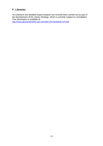# **F. Libraries**

An extensive and detailed impact analysis has recently been carried out as part of the development of the Library Strategy, which is currently subject to consultation. This information is available at

h[ttp://www.gloucestershire.gov.uk/index.cfm?articleid=107166](http://www.gloucestershire.gov.uk/index.cfm?articleid=107166)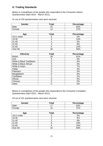# **G. Trading Standards**

Below is a breakdown of the people who responded to the Consumer Advice Questionnaire (April 2010 – March 2011).

41 out of 150 questionnaires sent were returned.

| Gender | Total | Percentage |
|--------|-------|------------|
| Male   |       | 63%        |
| Female | 14    | 37%        |

| Age                | <b>Total</b> | Percentage |
|--------------------|--------------|------------|
| 18 or under        |              | $0\%$      |
| 19-30              |              | 10%        |
| $31 - 40$          |              | 5%         |
| 41-50              |              | 8%         |
| 51-60              |              | 13%        |
| Over <sub>60</sub> | 26           | 65%        |

| <b>Ethnicity</b>        | <b>Total</b> | Percentage |
|-------------------------|--------------|------------|
| <b>British</b>          | 39           | 91%        |
| Irish                   |              | 0%         |
| White & Black Caribbean |              | 0%         |
| White & Black African   |              | 0%         |
| White & Asian           | 3            | 7%         |
| Indian                  |              | 0%         |
| Pakistani               |              | $0\%$      |
| Bangladeshi             |              | $0\%$      |
| Caribbean               |              | 2%         |
| African                 |              | 0%         |
| Chinese                 |              | $0\%$      |
| Other                   |              | 0%         |

Below is a breakdown of the people who responded to the Consumer Complaint Questionnaire (April 2010 – March 2011).

34 out of 101 questionnaires sent were returned.

| Gender | Total | Percentage |
|--------|-------|------------|
| Male   |       | 63%        |
| Female |       | 37%        |

| Age                | <b>Total</b> | Percentage |
|--------------------|--------------|------------|
| 18 or under        |              | 0%         |
| 19-30              |              | 6%         |
| $31 - 40$          |              | 6%         |
| $41 - 50$          |              | 19%        |
| 51-60              |              | 19%        |
| Over <sub>60</sub> | 16           | 50%        |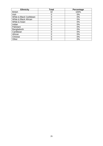| <b>Ethnicity</b>        | <b>Total</b> | <b>Percentage</b> |
|-------------------------|--------------|-------------------|
| <b>British</b>          | 32           | 100%              |
| Irish                   |              | $0\%$             |
| White & Black Caribbean |              | 0%                |
| White & Black African   | O            | 0%                |
| White & Asian           |              | $0\%$             |
| Indian                  | ი            | 0%                |
| Pakistani               | O            | $0\%$             |
| Bangladeshi             |              | $0\%$             |
| Caribbean               |              | $0\%$             |
| African                 |              | 0%                |
| Chinese                 |              | 0%                |
| Other                   |              | 0%                |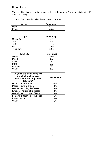# **H. Archives**

The equalities information below was collected through the Survey of Visitors to UK Archives (2011).

121 out of 189 questionnaires issued were completed.

| Gender | Percentage |
|--------|------------|
| Male   | 57%        |
| Female | 43%        |

| Age         | <b>Percentage</b> |
|-------------|-------------------|
| Under 25    | 3%                |
| 25-44       | 5%                |
| 45-64       | 44%               |
| 65-74       | 36%               |
| 75 and over | 12%               |

| <b>Ethnicity</b> | <b>Percentage</b> |
|------------------|-------------------|
| White            | 98%               |
| Mixed            | 1%                |
| Asian            | 0%                |
| <b>Black</b>     | 0%                |
| Chinese          | 0%                |
| Other            | 1%                |

| Do you have a disability/long-<br>term limiting illness or<br>impairment with any of the<br>following? | Percentage |
|--------------------------------------------------------------------------------------------------------|------------|
| None / not applicable                                                                                  | 89%        |
| Mobility - getting around                                                                              | 3%         |
| Hearing (including deafness)                                                                           | 3%         |
| Eyesight (including blindness)                                                                         | 2%         |
| Dexterity - using hands / fingers                                                                      | 3%         |
| Learning difficulty (e.g. dyslexia)                                                                    | 1%         |
| Mental health                                                                                          | $0\%$      |
| Other                                                                                                  | 1%         |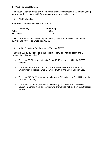#### **I. Youth Support Service**

The Youth Support Service provides a range of services targeted at vulnerable young people aged 11 - 19 (up to 25 for young people with special needs).

#### i. Youth Offending

First Time Entrant cohort was 426 in 2010-11.

| <b>Ethnicity</b> | Percentage |
|------------------|------------|
| White            | 89.5%      |
| Non-white        | 10.5%      |

This compares with 94.2% (White) and 5.8% (Non-white) in 2009-10 and 92.5% (White) and 7.5% (Non-white) in 2008-09.

#### ii. Not in Education, Employment or Training (NEET)

There are 926 16-19 year olds in the current cohort. The figures below are a snapshot as at January 2012.

- There are 37 Black and Minority Ethnic 16-19 year olds within the NEET category.
- There are 548 Black and Minority Ethnic 16-19 year olds in Education, Employment or Training who are worked with by the Youth Support Service.
- There are 107 16-19 year olds with Learning Difficulties and Disabilities within the NEET category.
- There are 724 16-19 year olds with Learning Difficulties and Disabilities in Education, Employment or Training who are worked with by the Youth Support Service.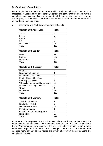### **3. Customer Complaints**

Local Authorities are required to include within their annual complaints report a statistical breakdown of the age, gender, disability and ethnicity of the people making complaints. As some complaints are made directly by our service users and some by a third party on a service user"s behalf we request this information when we first acknowledge the complaints.

| Community and Adult Care Directorate (2010-11) |  |
|------------------------------------------------|--|
|------------------------------------------------|--|

| <b>Complainant Age Range</b> | <b>Total</b> |
|------------------------------|--------------|
| 18-23                        | 0            |
| 24-45                        | 5            |
| 46-59                        | 10           |
| $60+$                        | 17           |
| <b>Not Stated</b>            | 196          |
| Total                        | 228          |

| <b>Complainant Gender</b> | <b>Total</b> |
|---------------------------|--------------|
| Male                      | 91           |
| Female                    | 107          |
| <b>Not Stated</b>         | 30           |
| <b>Total</b>              | 228          |

| <b>Complainant Disability</b>     | <b>Total</b> |
|-----------------------------------|--------------|
| <b>Dyslexia</b>                   | 0            |
| <b>Blind/partially sighted</b>    | 0            |
| Deaf/hearing difficulties         | 0            |
| <b>Mental Health difficulties</b> | 1            |
| <b>Learning Disabilities</b>      | 3            |
| Wheelchair user/mobility problems | 12           |
| Diabetes, epilepsy or similar     | 0            |
| Other                             | 2            |
| Not stated                        | 210          |
| <b>Total</b>                      | 228          |

| <b>Complainant Ethnicity</b>  | <b>Total</b> |
|-------------------------------|--------------|
| Asian/Asian British           | 2            |
| <b>Black/Black British</b>    | 5            |
| <b>White/White British</b>    | 169          |
| Mixed parentage               | O            |
| Chinese or other ethnic group | 0            |
| <b>Not Stated</b>             | 52           |
| Total                         | 228          |

**Comment:** The response rate is mixed and where we have not been sent the information the electronic social care records system is used to fill in the gaps where it can. Where no data is available then this has been entered as "not stated" in each table below. A push will be made in the coming year to ensure that this data can be captured more routinely so that figures are a truer reflection on the people using the complaints process.